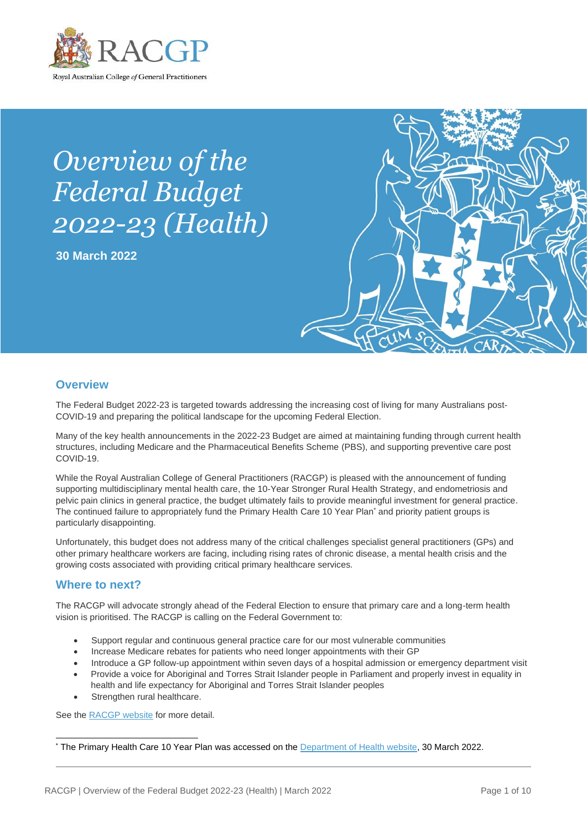

# *Overview of the Federal Budget 2022-23 (Health)*

**30 March 2022**



## **Overview**

The Federal Budget 2022-23 is targeted towards addressing the increasing cost of living for many Australians post-COVID-19 and preparing the political landscape for the upcoming Federal Election.

Many of the key health announcements in the 2022-23 Budget are aimed at maintaining funding through current health structures, including Medicare and the Pharmaceutical Benefits Scheme (PBS), and supporting preventive care post COVID-19.

While the Royal Australian College of General Practitioners (RACGP) is pleased with the announcement of funding supporting multidisciplinary mental health care, the 10-Year Stronger Rural Health Strategy, and endometriosis and pelvic pain clinics in general practice, the budget ultimately fails to provide meaningful investment for general practice. The continued failure to appropriately fund the Primary Health Care 10 Year Plan\* and priority patient groups is particularly disappointing.

Unfortunately, this budget does not address many of the critical challenges specialist general practitioners (GPs) and other primary healthcare workers are facing, including rising rates of chronic disease, a mental health crisis and the growing costs associated with providing critical primary healthcare services.

## **Where to next?**

The RACGP will advocate strongly ahead of the Federal Election to ensure that primary care and a long-term health vision is prioritised. The RACGP is calling on the Federal Government to:

- Support regular and continuous general practice care for our most vulnerable communities
- Increase Medicare rebates for patients who need longer appointments with their GP
- Introduce a GP follow-up appointment within seven days of a hospital admission or emergency department visit
- Provide a voice for Aboriginal and Torres Strait Islander people in Parliament and properly invest in equality in health and life expectancy for Aboriginal and Torres Strait Islander peoples
- Strengthen rural healthcare.

See the [RACGP website](https://www.racgp.org.au/advocacy/advocacy-resources/federal-election-statement-and-advocacy-resources) for more detail.

<sup>&</sup>lt;sup>\*</sup> The Primary Health Care 10 Year Plan was accessed on th[e Department of Health website,](https://www.health.gov.au/resources/publications/australias-primary-health-care-10-year-plan-2022-2032) 30 March 2022.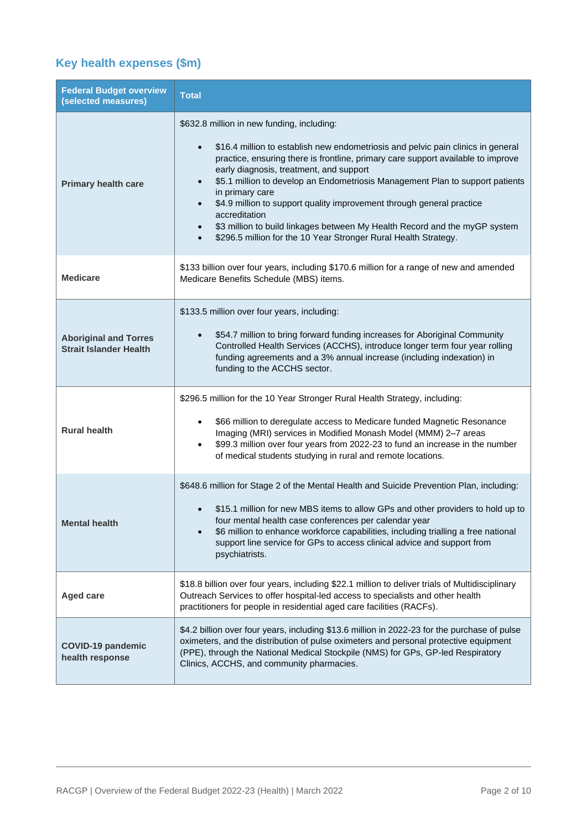## **Key health expenses (\$m)**

| <b>Federal Budget overview</b><br>(selected measures)         | <b>Total</b>                                                                                                                                                                                                                                                                                                                                                                                                                                                                                                                                                                                                              |
|---------------------------------------------------------------|---------------------------------------------------------------------------------------------------------------------------------------------------------------------------------------------------------------------------------------------------------------------------------------------------------------------------------------------------------------------------------------------------------------------------------------------------------------------------------------------------------------------------------------------------------------------------------------------------------------------------|
| <b>Primary health care</b>                                    | \$632.8 million in new funding, including:<br>\$16.4 million to establish new endometriosis and pelvic pain clinics in general<br>$\bullet$<br>practice, ensuring there is frontline, primary care support available to improve<br>early diagnosis, treatment, and support<br>\$5.1 million to develop an Endometriosis Management Plan to support patients<br>in primary care<br>\$4.9 million to support quality improvement through general practice<br>accreditation<br>\$3 million to build linkages between My Health Record and the myGP system<br>\$296.5 million for the 10 Year Stronger Rural Health Strategy. |
| <b>Medicare</b>                                               | \$133 billion over four years, including \$170.6 million for a range of new and amended<br>Medicare Benefits Schedule (MBS) items.                                                                                                                                                                                                                                                                                                                                                                                                                                                                                        |
| <b>Aboriginal and Torres</b><br><b>Strait Islander Health</b> | \$133.5 million over four years, including:<br>\$54.7 million to bring forward funding increases for Aboriginal Community<br>Controlled Health Services (ACCHS), introduce longer term four year rolling<br>funding agreements and a 3% annual increase (including indexation) in<br>funding to the ACCHS sector.                                                                                                                                                                                                                                                                                                         |
| <b>Rural health</b>                                           | \$296.5 million for the 10 Year Stronger Rural Health Strategy, including:<br>\$66 million to deregulate access to Medicare funded Magnetic Resonance<br>Imaging (MRI) services in Modified Monash Model (MMM) 2-7 areas<br>\$99.3 million over four years from 2022-23 to fund an increase in the number<br>$\bullet$<br>of medical students studying in rural and remote locations.                                                                                                                                                                                                                                     |
| <b>Mental health</b>                                          | \$648.6 million for Stage 2 of the Mental Health and Suicide Prevention Plan, including:<br>\$15.1 million for new MBS items to allow GPs and other providers to hold up to<br>four mental health case conferences per calendar year<br>\$6 million to enhance workforce capabilities, including trialling a free national<br>support line service for GPs to access clinical advice and support from<br>psychiatrists.                                                                                                                                                                                                   |
| <b>Aged care</b>                                              | \$18.8 billion over four years, including \$22.1 million to deliver trials of Multidisciplinary<br>Outreach Services to offer hospital-led access to specialists and other health<br>practitioners for people in residential aged care facilities (RACFs).                                                                                                                                                                                                                                                                                                                                                                |
| <b>COVID-19 pandemic</b><br>health response                   | \$4.2 billion over four years, including \$13.6 million in 2022-23 for the purchase of pulse<br>oximeters, and the distribution of pulse oximeters and personal protective equipment<br>(PPE), through the National Medical Stockpile (NMS) for GPs, GP-led Respiratory<br>Clinics, ACCHS, and community pharmacies.                                                                                                                                                                                                                                                                                                      |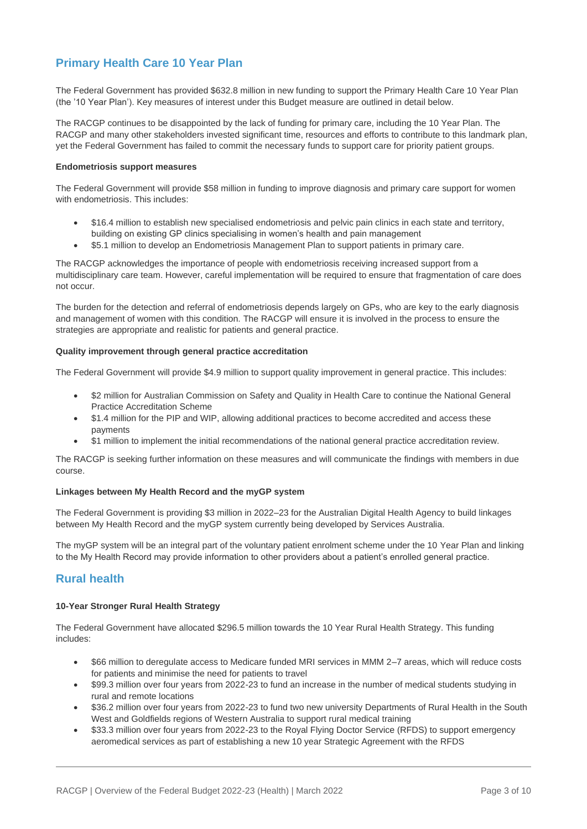## **Primary Health Care 10 Year Plan**

The Federal Government has provided \$632.8 million in new funding to support the Primary Health Care 10 Year Plan (the '10 Year Plan'). Key measures of interest under this Budget measure are outlined in detail below.

The RACGP continues to be disappointed by the lack of funding for primary care, including the 10 Year Plan. The RACGP and many other stakeholders invested significant time, resources and efforts to contribute to this landmark plan, yet the Federal Government has failed to commit the necessary funds to support care for priority patient groups.

#### **Endometriosis support measures**

The Federal Government will provide \$58 million in funding to improve diagnosis and primary care support for women with endometriosis. This includes:

- \$16.4 million to establish new specialised endometriosis and pelvic pain clinics in each state and territory, building on existing GP clinics specialising in women's health and pain management
- \$5.1 million to develop an Endometriosis Management Plan to support patients in primary care.

The RACGP acknowledges the importance of people with endometriosis receiving increased support from a multidisciplinary care team. However, careful implementation will be required to ensure that fragmentation of care does not occur.

The burden for the detection and referral of endometriosis depends largely on GPs, who are key to the early diagnosis and management of women with this condition. The RACGP will ensure it is involved in the process to ensure the strategies are appropriate and realistic for patients and general practice.

#### **Quality improvement through general practice accreditation**

The Federal Government will provide \$4.9 million to support quality improvement in general practice. This includes:

- \$2 million for Australian Commission on Safety and Quality in Health Care to continue the National General Practice Accreditation Scheme
- \$1.4 million for the PIP and WIP, allowing additional practices to become accredited and access these payments
- \$1 million to implement the initial recommendations of the national general practice accreditation review.

The RACGP is seeking further information on these measures and will communicate the findings with members in due course.

#### **Linkages between My Health Record and the myGP system**

The Federal Government is providing \$3 million in 2022–23 for the Australian Digital Health Agency to build linkages between My Health Record and the myGP system currently being developed by Services Australia.

The myGP system will be an integral part of the voluntary patient enrolment scheme under the 10 Year Plan and linking to the My Health Record may provide information to other providers about a patient's enrolled general practice.

## **Rural health**

#### **10-Year Stronger Rural Health Strategy**

The Federal Government have allocated \$296.5 million towards the 10 Year Rural Health Strategy. This funding includes:

- \$66 million to deregulate access to Medicare funded MRI services in MMM 2–7 areas, which will reduce costs for patients and minimise the need for patients to travel
- \$99.3 million over four years from 2022-23 to fund an increase in the number of medical students studying in rural and remote locations
- \$36.2 million over four years from 2022-23 to fund two new university Departments of Rural Health in the South West and Goldfields regions of Western Australia to support rural medical training
- \$33.3 million over four years from 2022-23 to the Royal Flying Doctor Service (RFDS) to support emergency aeromedical services as part of establishing a new 10 year Strategic Agreement with the RFDS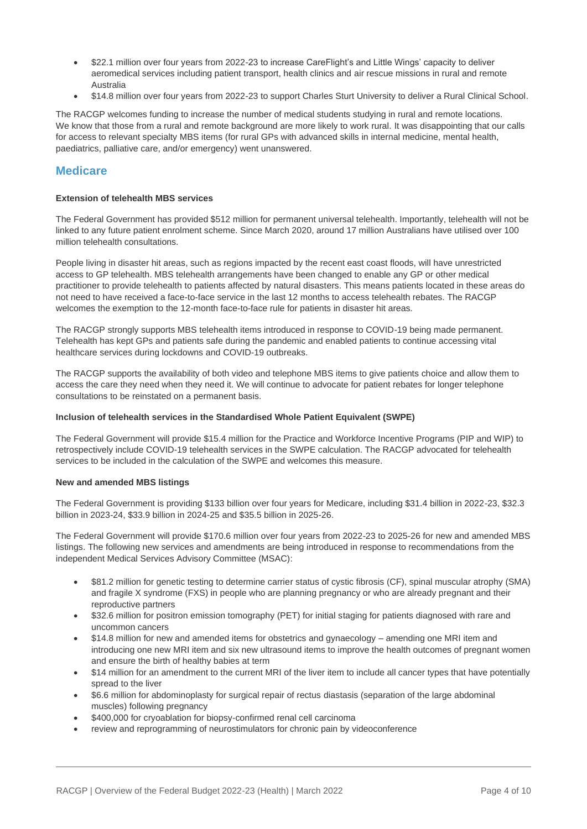- \$22.1 million over four years from 2022-23 to increase CareFlight's and Little Wings' capacity to deliver aeromedical services including patient transport, health clinics and air rescue missions in rural and remote Australia
- \$14.8 million over four years from 2022-23 to support Charles Sturt University to deliver a Rural Clinical School.

The RACGP welcomes funding to increase the number of medical students studying in rural and remote locations. We know that those from a rural and remote background are more likely to work rural. It was disappointing that our calls for access to relevant specialty MBS items (for rural GPs with advanced skills in internal medicine, mental health, paediatrics, palliative care, and/or emergency) went unanswered.

## **Medicare**

#### **Extension of telehealth MBS services**

The Federal Government has provided \$512 million for permanent universal telehealth. Importantly, telehealth will not be linked to any future patient enrolment scheme. Since March 2020, around 17 million Australians have utilised over 100 million telehealth consultations.

People living in disaster hit areas, such as regions impacted by the recent east coast floods, will have unrestricted access to GP telehealth. MBS telehealth arrangements have been changed to enable any GP or other medical practitioner to provide telehealth to patients affected by natural disasters. This means patients located in these areas do not need to have received a face-to-face service in the last 12 months to access telehealth rebates. The RACGP welcomes the exemption to the 12-month face-to-face rule for patients in disaster hit areas.

The RACGP strongly supports MBS telehealth items introduced in response to COVID-19 being made permanent. Telehealth has kept GPs and patients safe during the pandemic and enabled patients to continue accessing vital healthcare services during lockdowns and COVID-19 outbreaks.

The RACGP supports the availability of both video and telephone MBS items to give patients choice and allow them to access the care they need when they need it. We will continue to advocate for patient rebates for longer telephone consultations to be reinstated on a permanent basis.

#### **Inclusion of telehealth services in the Standardised Whole Patient Equivalent (SWPE)**

The Federal Government will provide \$15.4 million for the Practice and Workforce Incentive Programs (PIP and WIP) to retrospectively include COVID-19 telehealth services in the SWPE calculation. The RACGP advocated for telehealth services to be included in the calculation of the SWPE and welcomes this measure.

#### **New and amended MBS listings**

The Federal Government is providing \$133 billion over four years for Medicare, including \$31.4 billion in 2022-23, \$32.3 billion in 2023-24, \$33.9 billion in 2024-25 and \$35.5 billion in 2025-26.

The Federal Government will provide \$170.6 million over four years from 2022-23 to 2025-26 for new and amended MBS listings. The following new services and amendments are being introduced in response to recommendations from the independent Medical Services Advisory Committee (MSAC):

- \$81.2 million for genetic testing to determine carrier status of cystic fibrosis (CF), spinal muscular atrophy (SMA) and fragile X syndrome (FXS) in people who are planning pregnancy or who are already pregnant and their reproductive partners
- \$32.6 million for positron emission tomography (PET) for initial staging for patients diagnosed with rare and uncommon cancers
- \$14.8 million for new and amended items for obstetrics and gynaecology amending one MRI item and introducing one new MRI item and six new ultrasound items to improve the health outcomes of pregnant women and ensure the birth of healthy babies at term
- \$14 million for an amendment to the current MRI of the liver item to include all cancer types that have potentially spread to the liver
- \$6.6 million for abdominoplasty for surgical repair of rectus diastasis (separation of the large abdominal muscles) following pregnancy
- \$400,000 for cryoablation for biopsy-confirmed renal cell carcinoma
- review and reprogramming of neurostimulators for chronic pain by videoconference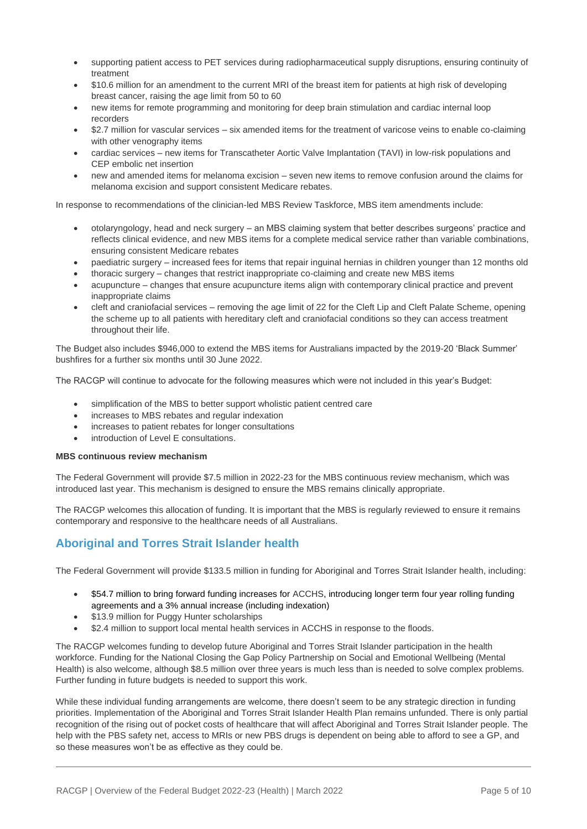- supporting patient access to PET services during radiopharmaceutical supply disruptions, ensuring continuity of treatment
- \$10.6 million for an amendment to the current MRI of the breast item for patients at high risk of developing breast cancer, raising the age limit from 50 to 60
- new items for remote programming and monitoring for deep brain stimulation and cardiac internal loop recorders
- \$2.7 million for vascular services six amended items for the treatment of varicose veins to enable co-claiming with other venography items
- cardiac services new items for Transcatheter Aortic Valve Implantation (TAVI) in low-risk populations and CEP embolic net insertion
- new and amended items for melanoma excision seven new items to remove confusion around the claims for melanoma excision and support consistent Medicare rebates.

In response to recommendations of the clinician-led MBS Review Taskforce, MBS item amendments include:

- otolaryngology, head and neck surgery an MBS claiming system that better describes surgeons' practice and reflects clinical evidence, and new MBS items for a complete medical service rather than variable combinations, ensuring consistent Medicare rebates
- paediatric surgery increased fees for items that repair inguinal hernias in children younger than 12 months old
- thoracic surgery changes that restrict inappropriate co-claiming and create new MBS items
- acupuncture changes that ensure acupuncture items align with contemporary clinical practice and prevent inappropriate claims
- cleft and craniofacial services removing the age limit of 22 for the Cleft Lip and Cleft Palate Scheme, opening the scheme up to all patients with hereditary cleft and craniofacial conditions so they can access treatment throughout their life.

The Budget also includes \$946,000 to extend the MBS items for Australians impacted by the 2019-20 'Black Summer' bushfires for a further six months until 30 June 2022.

The RACGP will continue to advocate for the following measures which were not included in this year's Budget:

- simplification of the MBS to better support wholistic patient centred care
- increases to MBS rebates and regular indexation
- increases to patient rebates for longer consultations
- introduction of Level E consultations.

#### **MBS continuous review mechanism**

The Federal Government will provide \$7.5 million in 2022-23 for the MBS continuous review mechanism, which was introduced last year. This mechanism is designed to ensure the MBS remains clinically appropriate.

The RACGP welcomes this allocation of funding. It is important that the MBS is regularly reviewed to ensure it remains contemporary and responsive to the healthcare needs of all Australians.

## **Aboriginal and Torres Strait Islander health**

The Federal Government will provide \$133.5 million in funding for Aboriginal and Torres Strait Islander health, including:

- \$54.7 million to bring forward funding increases for ACCHS, introducing longer term four year rolling funding agreements and a 3% annual increase (including indexation)
- \$13.9 million for Puggy Hunter scholarships
- \$2.4 million to support local mental health services in ACCHS in response to the floods.

The RACGP welcomes funding to develop future Aboriginal and Torres Strait Islander participation in the health workforce. Funding for the National Closing the Gap Policy Partnership on Social and Emotional Wellbeing (Mental Health) is also welcome, although \$8.5 million over three years is much less than is needed to solve complex problems. Further funding in future budgets is needed to support this work.

While these individual funding arrangements are welcome, there doesn't seem to be any strategic direction in funding priorities. Implementation of the Aboriginal and Torres Strait Islander Health Plan remains unfunded. There is only partial recognition of the rising out of pocket costs of healthcare that will affect Aboriginal and Torres Strait Islander people. The help with the PBS safety net, access to MRIs or new PBS drugs is dependent on being able to afford to see a GP, and so these measures won't be as effective as they could be.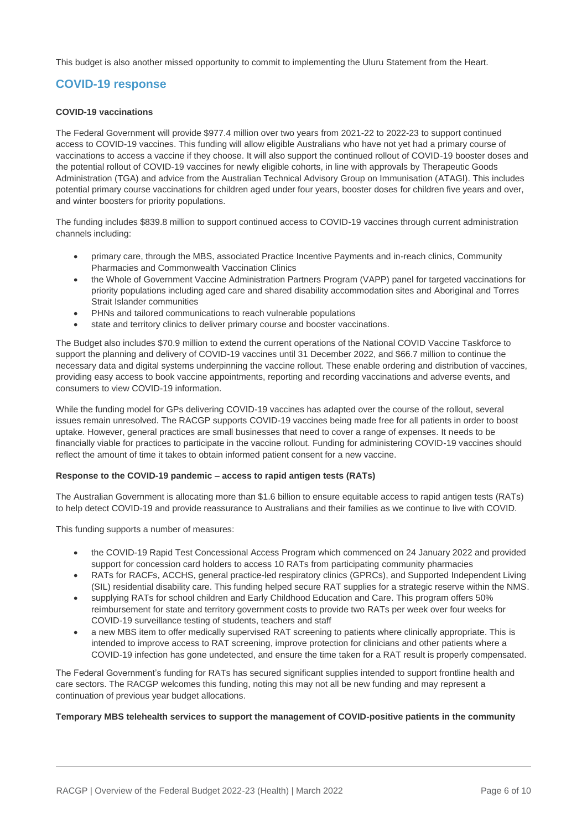This budget is also another missed opportunity to commit to implementing the Uluru Statement from the Heart.

## **COVID-19 response**

#### **COVID-19 vaccinations**

The Federal Government will provide \$977.4 million over two years from 2021-22 to 2022-23 to support continued access to COVID-19 vaccines. This funding will allow eligible Australians who have not yet had a primary course of vaccinations to access a vaccine if they choose. It will also support the continued rollout of COVID-19 booster doses and the potential rollout of COVID-19 vaccines for newly eligible cohorts, in line with approvals by Therapeutic Goods Administration (TGA) and advice from the Australian Technical Advisory Group on Immunisation (ATAGI). This includes potential primary course vaccinations for children aged under four years, booster doses for children five years and over, and winter boosters for priority populations.

The funding includes \$839.8 million to support continued access to COVID-19 vaccines through current administration channels including:

- primary care, through the MBS, associated Practice Incentive Payments and in-reach clinics, Community Pharmacies and Commonwealth Vaccination Clinics
- the Whole of Government Vaccine Administration Partners Program (VAPP) panel for targeted vaccinations for priority populations including aged care and shared disability accommodation sites and Aboriginal and Torres Strait Islander communities
- PHNs and tailored communications to reach vulnerable populations
- state and territory clinics to deliver primary course and booster vaccinations.

The Budget also includes \$70.9 million to extend the current operations of the National COVID Vaccine Taskforce to support the planning and delivery of COVID-19 vaccines until 31 December 2022, and \$66.7 million to continue the necessary data and digital systems underpinning the vaccine rollout. These enable ordering and distribution of vaccines, providing easy access to book vaccine appointments, reporting and recording vaccinations and adverse events, and consumers to view COVID-19 information.

While the funding model for GPs delivering COVID-19 vaccines has adapted over the course of the rollout, several issues remain unresolved. The RACGP supports COVID-19 vaccines being made free for all patients in order to boost uptake. However, general practices are small businesses that need to cover a range of expenses. It needs to be financially viable for practices to participate in the vaccine rollout. Funding for administering COVID-19 vaccines should reflect the amount of time it takes to obtain informed patient consent for a new vaccine.

#### **Response to the COVID-19 pandemic – access to rapid antigen tests (RATs)**

The Australian Government is allocating more than \$1.6 billion to ensure equitable access to rapid antigen tests (RATs) to help detect COVID-19 and provide reassurance to Australians and their families as we continue to live with COVID.

This funding supports a number of measures:

- the COVID-19 Rapid Test Concessional Access Program which commenced on 24 January 2022 and provided support for concession card holders to access 10 RATs from participating community pharmacies
- RATs for RACFs, ACCHS, general practice-led respiratory clinics (GPRCs), and Supported Independent Living (SIL) residential disability care. This funding helped secure RAT supplies for a strategic reserve within the NMS.
- supplying RATs for school children and Early Childhood Education and Care. This program offers 50% reimbursement for state and territory government costs to provide two RATs per week over four weeks for COVID-19 surveillance testing of students, teachers and staff
- a new MBS item to offer medically supervised RAT screening to patients where clinically appropriate. This is intended to improve access to RAT screening, improve protection for clinicians and other patients where a COVID-19 infection has gone undetected, and ensure the time taken for a RAT result is properly compensated.

The Federal Government's funding for RATs has secured significant supplies intended to support frontline health and care sectors. The RACGP welcomes this funding, noting this may not all be new funding and may represent a continuation of previous year budget allocations.

#### **Temporary MBS telehealth services to support the management of COVID-positive patients in the community**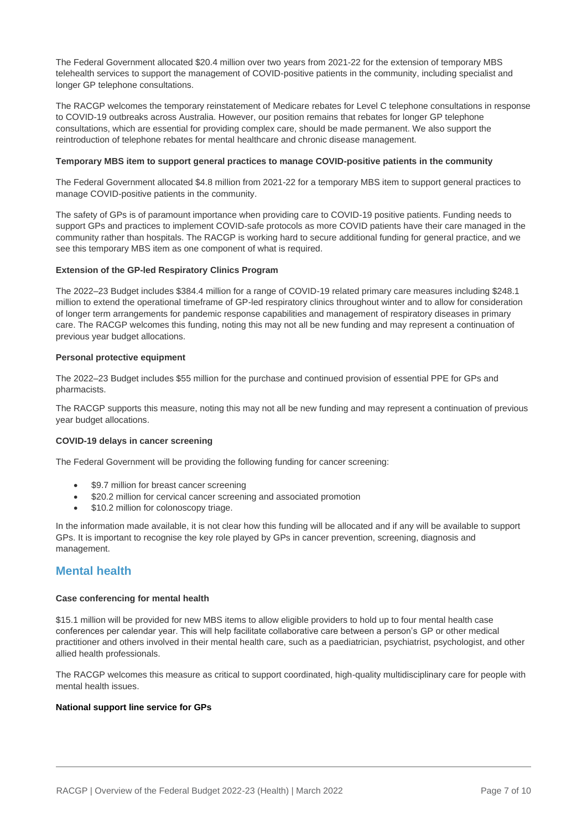The Federal Government allocated \$20.4 million over two years from 2021-22 for the extension of temporary MBS telehealth services to support the management of COVID-positive patients in the community, including specialist and longer GP telephone consultations.

The RACGP welcomes the temporary reinstatement of Medicare rebates for Level C telephone consultations in response to COVID-19 outbreaks across Australia. However, our position remains that rebates for longer GP telephone consultations, which are essential for providing complex care, should be made permanent. We also support the reintroduction of telephone rebates for mental healthcare and chronic disease management.

#### **Temporary MBS item to support general practices to manage COVID-positive patients in the community**

The Federal Government allocated \$4.8 million from 2021-22 for a temporary MBS item to support general practices to manage COVID-positive patients in the community.

The safety of GPs is of paramount importance when providing care to COVID-19 positive patients. Funding needs to support GPs and practices to implement COVID-safe protocols as more COVID patients have their care managed in the community rather than hospitals. The RACGP is working hard to secure additional funding for general practice, and we see this temporary MBS item as one component of what is required.

#### **Extension of the GP-led Respiratory Clinics Program**

The 2022–23 Budget includes \$384.4 million for a range of COVID-19 related primary care measures including \$248.1 million to extend the operational timeframe of GP-led respiratory clinics throughout winter and to allow for consideration of longer term arrangements for pandemic response capabilities and management of respiratory diseases in primary care. The RACGP welcomes this funding, noting this may not all be new funding and may represent a continuation of previous year budget allocations.

#### **Personal protective equipment**

The 2022–23 Budget includes \$55 million for the purchase and continued provision of essential PPE for GPs and pharmacists.

The RACGP supports this measure, noting this may not all be new funding and may represent a continuation of previous year budget allocations.

#### **COVID-19 delays in cancer screening**

The Federal Government will be providing the following funding for cancer screening:

- \$9.7 million for breast cancer screening
- \$20.2 million for cervical cancer screening and associated promotion
- \$10.2 million for colonoscopy triage.

In the information made available, it is not clear how this funding will be allocated and if any will be available to support GPs. It is important to recognise the key role played by GPs in cancer prevention, screening, diagnosis and management.

## **Mental health**

#### **Case conferencing for mental health**

\$15.1 million will be provided for new MBS items to allow eligible providers to hold up to four mental health case conferences per calendar year. This will help facilitate collaborative care between a person's GP or other medical practitioner and others involved in their mental health care, such as a paediatrician, psychiatrist, psychologist, and other allied health professionals.

The RACGP welcomes this measure as critical to support coordinated, high-quality multidisciplinary care for people with mental health issues.

#### **National support line service for GPs**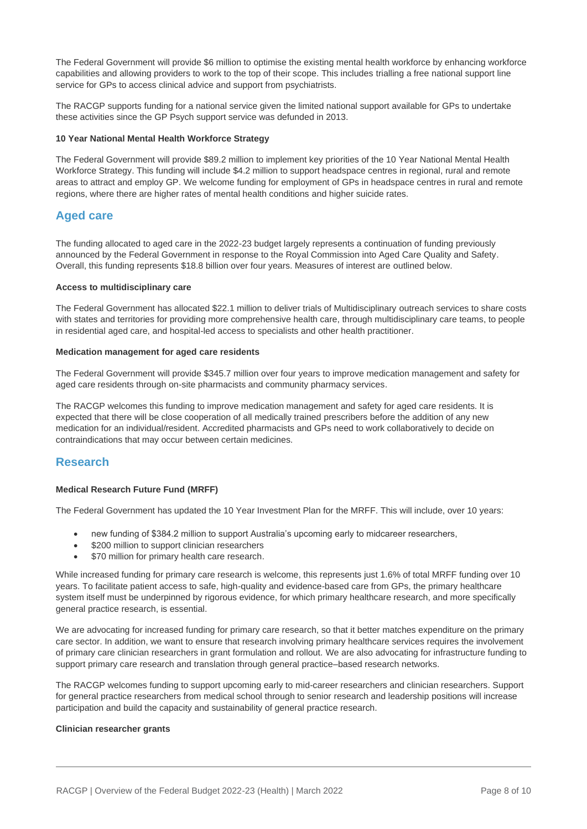The Federal Government will provide \$6 million to optimise the existing mental health workforce by enhancing workforce capabilities and allowing providers to work to the top of their scope. This includes trialling a free national support line service for GPs to access clinical advice and support from psychiatrists.

The RACGP supports funding for a national service given the limited national support available for GPs to undertake these activities since the GP Psych support service was defunded in 2013.

#### **10 Year National Mental Health Workforce Strategy**

The Federal Government will provide \$89.2 million to implement key priorities of the 10 Year National Mental Health Workforce Strategy. This funding will include \$4.2 million to support headspace centres in regional, rural and remote areas to attract and employ GP. We welcome funding for employment of GPs in headspace centres in rural and remote regions, where there are higher rates of mental health conditions and higher suicide rates.

## **Aged care**

The funding allocated to aged care in the 2022-23 budget largely represents a continuation of funding previously announced by the Federal Government in response to the Royal Commission into Aged Care Quality and Safety. Overall, this funding represents \$18.8 billion over four years. Measures of interest are outlined below.

#### **Access to multidisciplinary care**

The Federal Government has allocated \$22.1 million to deliver trials of Multidisciplinary outreach services to share costs with states and territories for providing more comprehensive health care, through multidisciplinary care teams, to people in residential aged care, and hospital-led access to specialists and other health practitioner.

#### **Medication management for aged care residents**

The Federal Government will provide \$345.7 million over four years to improve medication management and safety for aged care residents through on-site pharmacists and community pharmacy services.

The RACGP welcomes this funding to improve medication management and safety for aged care residents. It is expected that there will be close cooperation of all medically trained prescribers before the addition of any new medication for an individual/resident. Accredited pharmacists and GPs need to work collaboratively to decide on contraindications that may occur between certain medicines.

## **Research**

#### **Medical Research Future Fund (MRFF)**

The Federal Government has updated the 10 Year Investment Plan for the MRFF. This will include, over 10 years:

- new funding of \$384.2 million to support Australia's upcoming early to midcareer researchers,
- \$200 million to support clinician researchers
- \$70 million for primary health care research.

While increased funding for primary care research is welcome, this represents just 1.6% of total MRFF funding over 10 years. To facilitate patient access to safe, high-quality and evidence-based care from GPs, the primary healthcare system itself must be underpinned by rigorous evidence, for which primary healthcare research, and more specifically general practice research, is essential.

We are advocating for increased funding for primary care research, so that it better matches expenditure on the primary care sector. In addition, we want to ensure that research involving primary healthcare services requires the involvement of primary care clinician researchers in grant formulation and rollout. We are also advocating for infrastructure funding to support primary care research and translation through general practice–based research networks.

The RACGP welcomes funding to support upcoming early to mid-career researchers and clinician researchers. Support for general practice researchers from medical school through to senior research and leadership positions will increase participation and build the capacity and sustainability of general practice research.

#### **Clinician researcher grants**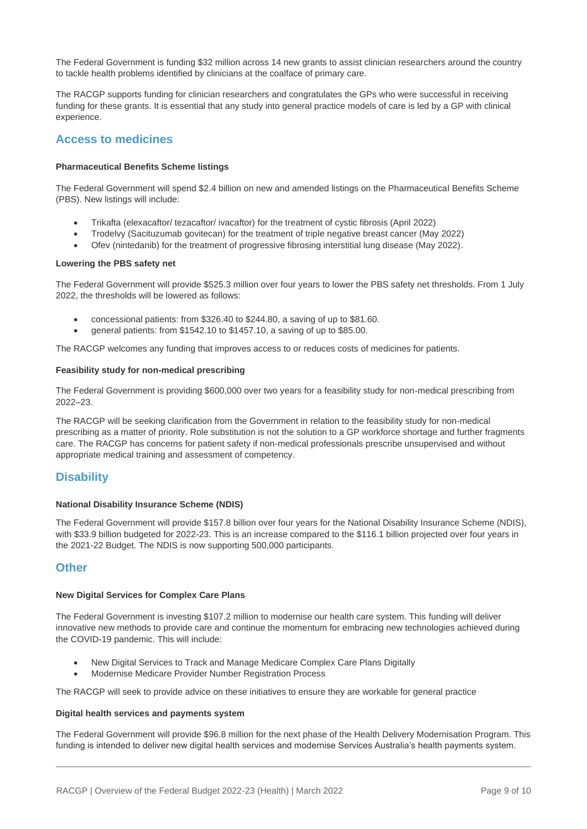The Federal Government is funding \$32 million across 14 new grants to assist clinician researchers around the country to tackle health problems identified by clinicians at the coalface of primary care.

The RACGP supports funding for clinician researchers and congratulates the GPs who were successful in receiving funding for these grants. It is essential that any study into general practice models of care is led by a GP with clinical experience.

## **Access to medicines**

#### **Pharmaceutical Benefits Scheme listings**

The Federal Government will spend \$2.4 billion on new and amended listings on the Pharmaceutical Benefits Scheme (PBS). New listings will include:

- Trikafta (elexacaftor/ tezacaftor/ ivacaftor) for the treatment of cystic fibrosis (April 2022)
- Trodelvy (Sacituzumab govitecan) for the treatment of triple negative breast cancer (May 2022)
- Ofev (nintedanib) for the treatment of progressive fibrosing interstitial lung disease (May 2022).

#### **Lowering the PBS safety net**

The Federal Government will provide \$525.3 million over four years to lower the PBS safety net thresholds. From 1 July 2022, the thresholds will be lowered as follows:

- concessional patients: from \$326.40 to \$244.80, a saving of up to \$81.60.
- general patients: from \$1542.10 to \$1457.10, a saving of up to \$85.00.

The RACGP welcomes any funding that improves access to or reduces costs of medicines for patients.

#### **Feasibility study for non-medical prescribing**

The Federal Government is providing \$600,000 over two years for a feasibility study for non-medical prescribing from 2022–23.

The RACGP will be seeking clarification from the Government in relation to the feasibility study for non-medical prescribing as a matter of priority. Role substitution is not the solution to a GP workforce shortage and further fragments care. The RACGP has concerns for patient safety if non-medical professionals prescribe unsupervised and without appropriate medical training and assessment of competency.

## **Disability**

#### **National Disability Insurance Scheme (NDIS)**

The Federal Government will provide \$157.8 billion over four years for the National Disability Insurance Scheme (NDIS), with \$33.9 billion budgeted for 2022-23. This is an increase compared to the \$116.1 billion projected over four years in the 2021-22 Budget. The NDIS is now supporting 500,000 participants.

#### **Other**

#### **New Digital Services for Complex Care Plans**

The Federal Government is investing \$107.2 million to modernise our health care system. This funding will deliver innovative new methods to provide care and continue the momentum for embracing new technologies achieved during the COVID-19 pandemic. This will include:

- New Digital Services to Track and Manage Medicare Complex Care Plans Digitally
- Modernise Medicare Provider Number Registration Process

The RACGP will seek to provide advice on these initiatives to ensure they are workable for general practice

#### **Digital health services and payments system**

The Federal Government will provide \$96.8 million for the next phase of the Health Delivery Modernisation Program. This funding is intended to deliver new digital health services and modernise Services Australia's health payments system.